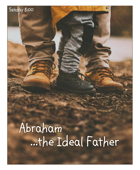# …the Ideal Father Abraham

Sunday 8:00

l

j

Î

i<br>B **Contract** i<br>Li ì į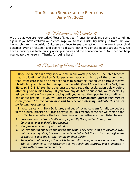## **THE SECOND SUNDAY AFTER PENTECOST June 19, 2022**

# $\triangleleft$  Welcome to Worship

We are glad you are here today! Please fill out our friendship book and come back to join us again. If you have children we'd encourage you to take a risk. Try sitting up front. We love having children in worship! Children also love to see the action. In the event your child becomes **overly** "restless" and begins to disturb either you or the people around you, we have a nursery available during worship services and the education hour. An usher can help you locate the nursery. **Thanks for being here!**

# **S** Regarding Holy Communion <del>S</del>

Holy Communion is a very special time in our worship service. The Bible teaches that distribution of the Lord's Supper is an important ministry of the church, and that loving care should be practiced so as to guarantee that all who partake receive Christ's body and blood to their spiritual benefit. (See 1 Corinthians 11:27-29, Pew Bible, p. 812-813.) Members and guests please read the explanation below before attending communion today. If you have any doubts or questions, we respectfully ask you to refrain from participating until you've had the opportunity to talk with one of our pastors. *If you will not be receiving communion, please feel free to come forward to the communion rail to receive a blessing; indicate this desire by folding your hands.*

In accordance with Holy Scripture, and out of loving concern for all, we believe in the biblical practice of Close Communion. This means, those are welcome to the Lord's Table who believe the basic teachings of the Lutheran church listed below:

- *1. Have been instructed in God's Word, especially the Apostles' Creed, Ten Commandments and Holy Sacraments;*
- *2. Confess and repent of all their sins;*
- *3. Believe that in and with the bread and wine, they receive in a miraculous way, not merely a symbol, but the true body and blood of Christ, for the forgiveness of their sins and the strengthening of their faith;*
- *4. Recognize that participation at His table indicates a public agreement with the Biblical teaching of the Sacrament as we teach and confess, and a oneness in faith with fellow communicants.*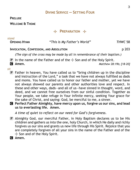**PRELUDE**

**WELCOME & THEME**

### **THEPARATION**

| stand               |                             |         |
|---------------------|-----------------------------|---------|
| <b>OPENING HYMN</b> | "This Is My Father's World" | THWC 58 |

#### **INVOCATION, CONFESSION, AND ABSOLUTION** p 203

*(The sign of the cross may be made by all in remembrance of their baptism.)*

- $\overline{P}$  In the name of the Father and of the  $\pm$  Son and of the Holy Spirit.
- C **Amen.** *Matthew 28:19b; [18-20]*

#### *sit*

- $\mathbf{P}$  Father in heaven, You have called us to "bring children up in the discipline and instruction of the Lord," a task that we have not always fulfilled as dads and moms. You have called us to honor our father and mother, yet we have not always showed our parents and other authorities love and respect. In these and other ways, dads—and all of us—have sinned in thought, word, and deed, and we cannot free ourselves from our sinful condition. Together as Your people, we take refuge in Your infinite mercy, seeking Your grace for the sake of Christ, and saying: God, be merciful to me, a sinner.
- C **Perfect Father Almighty, have mercy upon us, forgive us our sins, and lead us to everlasting life. Amen.**

*A time of quiet to reflect on our need for God's forgiveness.*

- P Almighty God, our merciful Father, in Holy Baptism declares us to be His children and gathers us into the one, holy Church, in which He daily and richly forgives us our sins and grants us new life through His Spirit. Rejoice that you are completely forgiven of all your sins in the name of the Father and of the  $+$  Son and of the Holy Spirit.
- C **Amen.**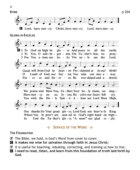

**H** SERVICE OF THE WORD +

#### **THE FOUNDATION**

- $\mathbf{P}$  The Bible, we hold, is God's Word from cover to cover;
- C **it makes me wise for salvation through faith in Jesus Christ;**
- $\mathbf{P}$  it is useful for teaching, rebuking, correcting, and training us how to live;
- C **I need to read, listen, and learn from this foundation of truth laid forth by God.**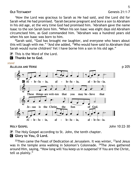#### **OLD TESTAMENT** Genesis 21:1-7

<sup>1</sup>Now the Lord was gracious to Sarah as He had said, and the Lord did for Sarah what He had promised. <sup>2</sup>Sarah became pregnant and bore a son to Abraham in his old age, at the very time God had promised him.  $3$ Abraham gave the name Isaac to the son Sarah bore him. <sup>4</sup>When his son Isaac was eight days old Abraham circumcised him, as God commanded him. <sup>5</sup>Abraham was a hundred years old when his son Isaac was born to him.

<sup>6</sup>Sarah said, "God has brought me laughter, and everyone who hears about this will laugh with me." <sup>7</sup>And she added, "Who would have said to Abraham that Sarah would nurse children? Yet I have borne him a son in his old age."

P This is the Word of the Lord.

C **Thanks be to God.**

#### *stand*



**HOLY GOSPEL** John 10:22-30

 $\mathbf{P}$  The Holy Gospel according to St. John, the tenth chapter.

**G** Glory to You, O Lord.

 $22$ Then came the Feast of Dedication at Jerusalem. It was winter,  $23$  and Jesus was in the temple area walking in Solomon's Colonnade. <sup>24</sup>The Jews gathered around Him, saying, "How long will You keep us in suspense? If You are the Christ, tell us plainly."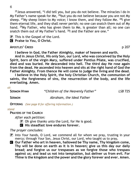<sup>25</sup> Jesus answered, "I did tell you, but you do not believe. The miracles I do in My Father's name speak for Me,  $^{26}$ but you do not believe because you are not My sheep. <sup>27</sup>My sheep listen to My voice; I know them, and they follow Me. <sup>28</sup>l give them eternal life, and they shall never perish; no one can snatch them out of My hand. <sup>29</sup>My Father, who has given them to Me, is greater than all; no one can snatch them out of My Father's hand. <sup>30</sup>I and the Father are one."

 $\mathbf{P}$  This is the Gospel of the Lord.

C **Praise to You, O Christ.**

#### **APOSTLES' CREED** p 207

**I believe in God, the Father Almighty, maker of heaven and earth.**

**And in Jesus Christ, His only Son, our Lord, who was conceived by the Holy Spirit, born of the virgin Mary, suffered under Pontius Pilate, was crucified, died and was buried. He descended into hell. The third day He rose again from the dead. He ascended into heaven and sits at the right hand of God the Father Almighty. From thence He will come to judge the living and the dead.**

**I believe in the Holy Spirit, the holy Christian Church, the communion of saints, the forgiveness of sins, the resurrection of the body, and the life everlasting. Amen.**

#### *sit*

**SERMON HYMN** *"Children of the Heavenly Father" LSB* 725

**SERMON** *Abraham, the Ideal Father*

**OFFERING** *(See page 8 for offering information.)*

#### *stand*

**PRAYERS OF THE CHURCH**

*After each petition:*

 $\mathbf{P}$  Oh give thanks unto the Lord, for He is good.

C **His steadfast love endures forever.**

#### *The prayer concludes:*

- $\bf{P}$  Into Your hands, O Lord, we commend all for whom we pray, trusting in your mercy; through Your Son, Jesus Christ, our Lord, who taught us to pray,
- C **Our Father who art in heaven, hallowed be Thy name, Thy kingdom come, Thy will be done on earth as it is in heaven; give us this day our daily bread; and forgive us our trespasses as we forgive those who trespass against us; and lead us not into temptation, but deliver us from evil. For Thine is the kingdom and the power and the glory forever and ever. Amen.**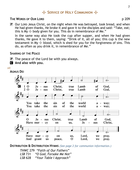# **HSERVICE OF HOLY COMMUNION**

#### **THE WORDS OF OUR LORD**

 $\bf{P}$  Our LORD Jesus Christ, on the night when He was betrayed, took bread, and when He had given thanks, He broke it and gave it to the disciples and said: "Take, eat; this is My  $\pm$  body given for you. This do in remembrance of Me."

In the same way also He took the cup after supper, and when He had given thanks, He gave it to them, saying: "Drink of it, all of you; this cup is the new testament in My  $\pm$  blood, which is shed for you for the forgiveness of sins. This do, as often as you drink it, in remembrance of Me."

#### **SHARING OF THE PEACE**

- $\mathbf{P}$  The peace of the Lord be with you always.
- C **And also with you.**

#### *sit*



**DISTRIBUTION & DISTRIBUTION HYMNS** *(See page 2 for communion information.)*

*THWC* 279 *"Faith of Our Fathers" LSB* 731 *"O God, Forsake Me Not" LSB* 628 *"Your Table I Approach"*